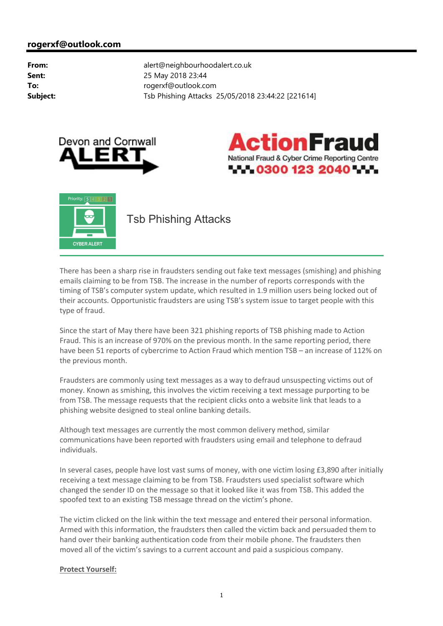





There has been a sharp rise in fraudsters sending out fake text messages (smishing) and phishing emails claiming to be from TSB. The increase in the number of reports corresponds with the timing of TSB's computer system update, which resulted in 1.9 million users being locked out of their accounts. Opportunistic fraudsters are using TSB's system issue to target people with this type of fraud.

Since the start of May there have been 321 phishing reports of TSB phishing made to Action Fraud. This is an increase of 970% on the previous month. In the same reporting period, there have been 51 reports of cybercrime to Action Fraud which mention TSB – an increase of 112% on the previous month.

Fraudsters are commonly using text messages as a way to defraud unsuspecting victims out of money. Known as smishing, this involves the victim receiving a text message purporting to be from TSB. The message requests that the recipient clicks onto a website link that leads to a phishing website designed to steal online banking details.

Although text messages are currently the most common delivery method, similar communications have been reported with fraudsters using email and telephone to defraud individuals.

In several cases, people have lost vast sums of money, with one victim losing £3,890 after initially receiving a text message claiming to be from TSB. Fraudsters used specialist software which changed the sender ID on the message so that it looked like it was from TSB. This added the spoofed text to an existing TSB message thread on the victim's phone.

The victim clicked on the link within the text message and entered their personal information. Armed with this information, the fraudsters then called the victim back and persuaded them to hand over their banking authentication code from their mobile phone. The fraudsters then moved all of the victim's savings to a current account and paid a suspicious company.

## **Protect Yourself:**